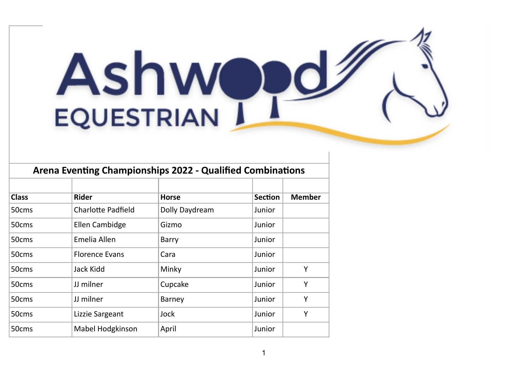## **Ashw EQUESTRIAN**

| Arena Eventing Championships 2022 - Qualified Combinations |                       |                |                |               |
|------------------------------------------------------------|-----------------------|----------------|----------------|---------------|
|                                                            |                       |                |                |               |
| <b>Class</b>                                               | <b>Rider</b>          | <b>Horse</b>   | <b>Section</b> | <b>Member</b> |
| 50cms                                                      | Charlotte Padfield    | Dolly Daydream | Junior         |               |
| 50cms                                                      | <b>Ellen Cambidge</b> | Gizmo          | Junior         |               |
| 50cms                                                      | Emelia Allen          | Barry          | Junior         |               |
| 50cms                                                      | <b>Florence Evans</b> | Cara           | Junior         |               |
| 50cms                                                      | Jack Kidd             | Minky          | Junior         | Y             |
| 50cms                                                      | JJ milner             | Cupcake        | Junior         | Υ             |
| 50cms                                                      | JJ milner             | Barney         | Junior         | Y             |
| 50cms                                                      | Lizzie Sargeant       | Jock           | Junior         | Υ             |
|                                                            |                       |                |                |               |

50cms Mabel Hodgkinson April Junior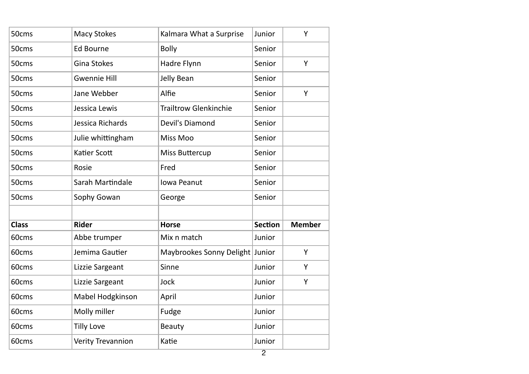| 50cms        | <b>Macy Stokes</b>  | Kalmara What a Surprise         | Junior         | Y             |
|--------------|---------------------|---------------------------------|----------------|---------------|
| 50cms        | <b>Ed Bourne</b>    | <b>Bolly</b>                    | Senior         |               |
| 50cms        | Gina Stokes         | Hadre Flynn                     | Senior         | Υ             |
| 50cms        | <b>Gwennie Hill</b> | Jelly Bean                      | Senior         |               |
| 50cms        | Jane Webber         | Alfie                           | Senior         | Y             |
| 50cms        | Jessica Lewis       | <b>Trailtrow Glenkinchie</b>    | Senior         |               |
| 50cms        | Jessica Richards    | Devil's Diamond                 | Senior         |               |
| 50cms        | Julie whittingham   | Miss Moo                        | Senior         |               |
| 50cms        | Katier Scott        | <b>Miss Buttercup</b>           | Senior         |               |
| 50cms        | Rosie               | Fred                            | Senior         |               |
| 50cms        | Sarah Martindale    | Iowa Peanut                     | Senior         |               |
| 50cms        | Sophy Gowan         | George                          | Senior         |               |
|              |                     |                                 |                |               |
| <b>Class</b> | <b>Rider</b>        | <b>Horse</b>                    | <b>Section</b> | <b>Member</b> |
| 60cms        | Abbe trumper        | Mix n match                     | Junior         |               |
| 60cms        | Jemima Gautier      | Maybrookes Sonny Delight Junior |                | Y             |
| 60cms        | Lizzie Sargeant     | Sinne                           | Junior         | Y             |
| 60cms        | Lizzie Sargeant     | Jock                            | Junior         | Υ             |
| 60cms        | Mabel Hodgkinson    | April                           | Junior         |               |
| 60cms        | Molly miller        | Fudge                           | Junior         |               |
| 60cms        | <b>Tilly Love</b>   | Beauty                          | Junior         |               |
| 60cms        | Verity Trevannion   | Katie                           | Junior         |               |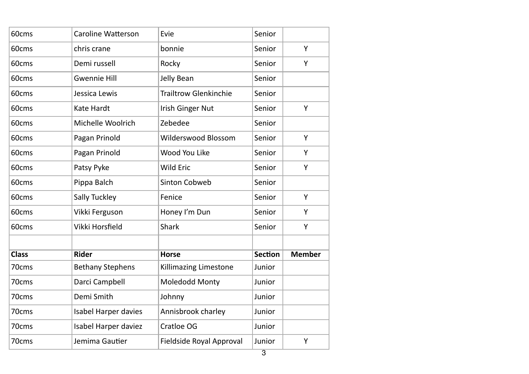| 60cms        | <b>Caroline Watterson</b> | Evie                         | Senior         |               |
|--------------|---------------------------|------------------------------|----------------|---------------|
| 60cms        | chris crane               | bonnie                       | Senior         | Y             |
| 60cms        | Demi russell              | Rocky                        | Senior         | Y             |
| 60cms        | <b>Gwennie Hill</b>       | Jelly Bean                   | Senior         |               |
| 60cms        | Jessica Lewis             | <b>Trailtrow Glenkinchie</b> | Senior         |               |
| 60cms        | Kate Hardt                | <b>Irish Ginger Nut</b>      | Senior         | Y             |
| 60cms        | Michelle Woolrich         | Zebedee                      | Senior         |               |
| 60cms        | Pagan Prinold             | Wilderswood Blossom          | Senior         | Y             |
| 60cms        | Pagan Prinold             | Wood You Like                | Senior         | Y             |
| 60cms        | Patsy Pyke                | <b>Wild Eric</b>             | Senior         | Y             |
| 60cms        | Pippa Balch               | Sinton Cobweb                | Senior         |               |
| 60cms        | Sally Tuckley             | Fenice                       | Senior         | Υ             |
| 60cms        | Vikki Ferguson            | Honey I'm Dun                | Senior         | Y             |
| 60cms        | Vikki Horsfield           | <b>Shark</b>                 | Senior         | Υ             |
|              |                           |                              |                |               |
| <b>Class</b> | <b>Rider</b>              | <b>Horse</b>                 | <b>Section</b> | <b>Member</b> |
| 70cms        | <b>Bethany Stephens</b>   | Killimazing Limestone        | Junior         |               |
| 70cms        | Darci Campbell            | Moledodd Monty               | Junior         |               |
| 70cms        | Demi Smith                | Johnny                       | Junior         |               |
| 70cms        | Isabel Harper davies      | Annisbrook charley           | Junior         |               |
| 70cms        | Isabel Harper daviez      | Cratloe OG                   | Junior         |               |
| 70cms        | Jemima Gautier            | Fieldside Royal Approval     | Junior         | Y             |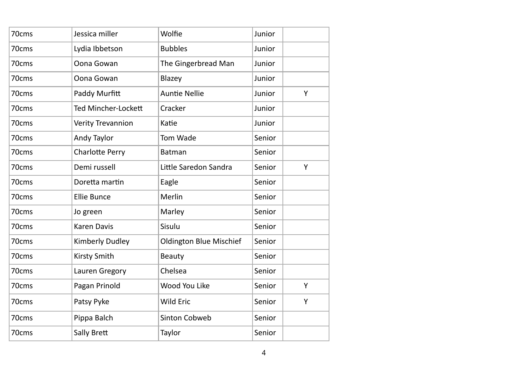| 70cms | Jessica miller             | Wolfie                         | Junior |   |
|-------|----------------------------|--------------------------------|--------|---|
| 70cms | Lydia Ibbetson             | <b>Bubbles</b>                 | Junior |   |
| 70cms | Oona Gowan                 | The Gingerbread Man            | Junior |   |
| 70cms | Oona Gowan                 | Blazey                         | Junior |   |
| 70cms | Paddy Murfitt              | <b>Auntie Nellie</b>           | Junior | Υ |
| 70cms | <b>Ted Mincher-Lockett</b> | Cracker                        | Junior |   |
| 70cms | Verity Trevannion          | Katie                          | Junior |   |
| 70cms | Andy Taylor                | Tom Wade                       | Senior |   |
| 70cms | <b>Charlotte Perry</b>     | Batman                         | Senior |   |
| 70cms | Demi russell               | Little Saredon Sandra          | Senior | Υ |
| 70cms | Doretta martin             | Eagle                          | Senior |   |
| 70cms | <b>Ellie Bunce</b>         | Merlin                         | Senior |   |
| 70cms | Jo green                   | Marley                         | Senior |   |
| 70cms | <b>Karen Davis</b>         | Sisulu                         | Senior |   |
| 70cms | Kimberly Dudley            | <b>Oldington Blue Mischief</b> | Senior |   |
| 70cms | Kirsty Smith               | Beauty                         | Senior |   |
| 70cms | Lauren Gregory             | Chelsea                        | Senior |   |
| 70cms | Pagan Prinold              | Wood You Like                  | Senior | Υ |
| 70cms | Patsy Pyke                 | Wild Eric                      | Senior | Y |
| 70cms | Pippa Balch                | <b>Sinton Cobweb</b>           | Senior |   |
| 70cms | Sally Brett                | Taylor                         | Senior |   |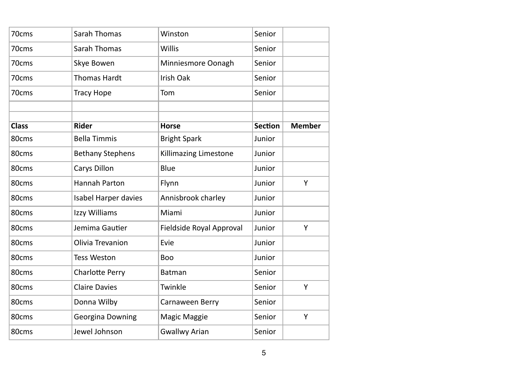| 70cms        | Sarah Thomas            | Winston                  | Senior         |               |
|--------------|-------------------------|--------------------------|----------------|---------------|
| 70cms        | Sarah Thomas            | Willis                   | Senior         |               |
| 70cms        | Skye Bowen              | Minniesmore Oonagh       | Senior         |               |
| 70cms        | <b>Thomas Hardt</b>     | Irish Oak                | Senior         |               |
| 70cms        | <b>Tracy Hope</b>       | Tom                      | Senior         |               |
|              |                         |                          |                |               |
|              |                         |                          |                |               |
| <b>Class</b> | <b>Rider</b>            | <b>Horse</b>             | <b>Section</b> | <b>Member</b> |
| 80cms        | <b>Bella Timmis</b>     | <b>Bright Spark</b>      | Junior         |               |
| 80cms        | <b>Bethany Stephens</b> | Killimazing Limestone    | Junior         |               |
| 80cms        | Carys Dillon            | Blue                     | Junior         |               |
| 80cms        | Hannah Parton           | Flynn                    | Junior         | Y             |
| 80cms        | Isabel Harper davies    | Annisbrook charley       | Junior         |               |
| 80cms        | Izzy Williams           | Miami                    | Junior         |               |
| 80cms        | Jemima Gautier          | Fieldside Royal Approval | Junior         | Υ             |
| 80cms        | Olivia Trevanion        | Evie                     | Junior         |               |
| 80cms        | <b>Tess Weston</b>      | Boo                      | Junior         |               |
| 80cms        | Charlotte Perry         | <b>Batman</b>            | Senior         |               |
| 80cms        | <b>Claire Davies</b>    | Twinkle                  | Senior         | Y             |
| 80cms        | Donna Wilby             | Carnaween Berry          | Senior         |               |
| 80cms        | Georgina Downing        | Magic Maggie             | Senior         | Υ             |
| 80cms        | Jewel Johnson           | <b>Gwallwy Arian</b>     | Senior         |               |